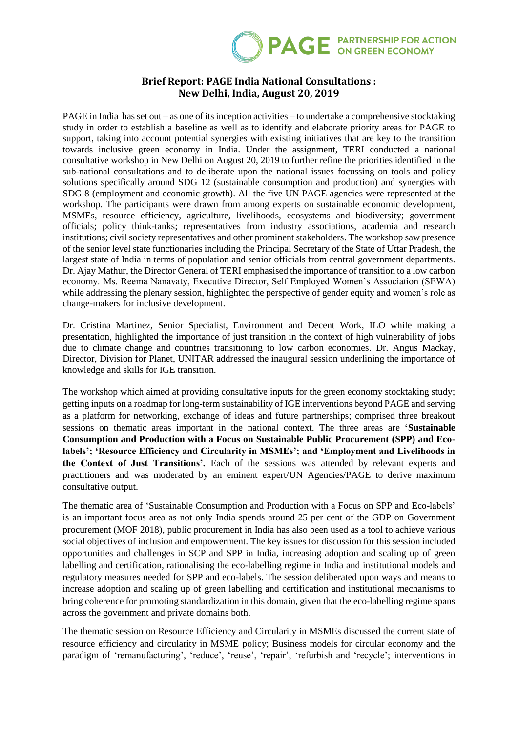

## **Brief Report: PAGE India National Consultations : New Delhi, India, August 20, 2019**

PAGE in India has set out – as one of its inception activities – to undertake a comprehensive stocktaking study in order to establish a baseline as well as to identify and elaborate priority areas for PAGE to support, taking into account potential synergies with existing initiatives that are key to the transition towards inclusive green economy in India. Under the assignment, TERI conducted a national consultative workshop in New Delhi on August 20, 2019 to further refine the priorities identified in the sub-national consultations and to deliberate upon the national issues focussing on tools and policy solutions specifically around SDG 12 (sustainable consumption and production) and synergies with SDG 8 (employment and economic growth). All the five UN PAGE agencies were represented at the workshop. The participants were drawn from among experts on sustainable economic development, MSMEs, resource efficiency, agriculture, livelihoods, ecosystems and biodiversity; government officials; policy think-tanks; representatives from industry associations, academia and research institutions; civil society representatives and other prominent stakeholders. The workshop saw presence of the senior level state functionaries including the Principal Secretary of the State of Uttar Pradesh, the largest state of India in terms of population and senior officials from central government departments. Dr. Ajay Mathur, the Director General of TERI emphasised the importance of transition to a low carbon economy. Ms. Reema Nanavaty, Executive Director, Self Employed Women's Association (SEWA) while addressing the plenary session, highlighted the perspective of gender equity and women's role as change-makers for inclusive development.

Dr. Cristina Martinez, Senior Specialist, Environment and Decent Work, ILO while making a presentation, highlighted the importance of just transition in the context of high vulnerability of jobs due to climate change and countries transitioning to low carbon economies. Dr. Angus Mackay, Director, Division for Planet, UNITAR addressed the inaugural session underlining the importance of knowledge and skills for IGE transition.

The workshop which aimed at providing consultative inputs for the green economy stocktaking study; getting inputs on a roadmap for long-term sustainability of IGE interventions beyond PAGE and serving as a platform for networking, exchange of ideas and future partnerships; comprised three breakout sessions on thematic areas important in the national context. The three areas are **'Sustainable Consumption and Production with a Focus on Sustainable Public Procurement (SPP) and Ecolabels'; 'Resource Efficiency and Circularity in MSMEs'; and 'Employment and Livelihoods in the Context of Just Transitions'.** Each of the sessions was attended by relevant experts and practitioners and was moderated by an eminent expert/UN Agencies/PAGE to derive maximum consultative output.

The thematic area of 'Sustainable Consumption and Production with a Focus on SPP and Eco-labels' is an important focus area as not only India spends around 25 per cent of the GDP on Government procurement (MOF 2018), public procurement in India has also been used as a tool to achieve various social objectives of inclusion and empowerment. The key issues for discussion for this session included opportunities and challenges in SCP and SPP in India, increasing adoption and scaling up of green labelling and certification, rationalising the eco-labelling regime in India and institutional models and regulatory measures needed for SPP and eco-labels. The session deliberated upon ways and means to increase adoption and scaling up of green labelling and certification and institutional mechanisms to bring coherence for promoting standardization in this domain, given that the eco-labelling regime spans across the government and private domains both.

The thematic session on Resource Efficiency and Circularity in MSMEs discussed the current state of resource efficiency and circularity in MSME policy; Business models for circular economy and the paradigm of 'remanufacturing', 'reduce', 'reuse', 'repair', 'refurbish and 'recycle'; interventions in